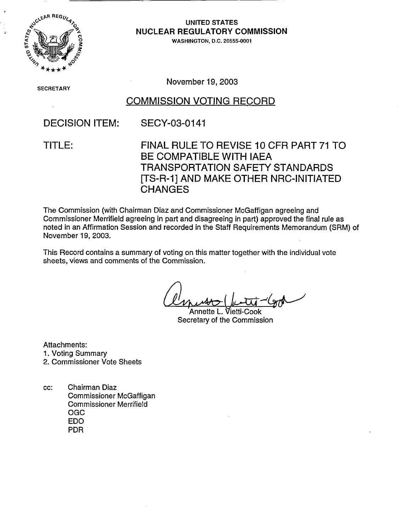

UNITED STATES **NUCLEAR REGULATORY COMMISSION**

WASHINGTON, D.C. 20555-0001

S ECRETARY

November 19, 2003

## COMMISSION VOTING RECORD

## DECISION ITEM: SECY-03-0141

TITLE: FINAL RULE TO REVISE 10 CFR PART 71 TO BE COMPATIBLE WITH IAEA TRANSPORTATION SAFETY STANDARDS [TS-R-1] AND MAKE OTHER NRC-INITIATED **CHANGES** 

The Commission (with Chairman Diaz and Commissioner McGaffigan agreeing and Commissioner Merrifield agreeing in part and disagreeing in part) approved the final rule as noted in an Affirmation Session and recorded in the Staff Requirements Memorandum (SRM) of November 19, 2003.

This Record contains a summary of voting on this matter together with the individual vote sheets, views and comments of the Commission.

Annette L. Vietti-Cook Secretary of the Commission

Attachments:

- 1. Voting Summary
- 2. Commissioner Vote Sheets
- cc: Chairman Diaz Commissioner McGaffigan Commissioner Merrifield OGC EDO PDR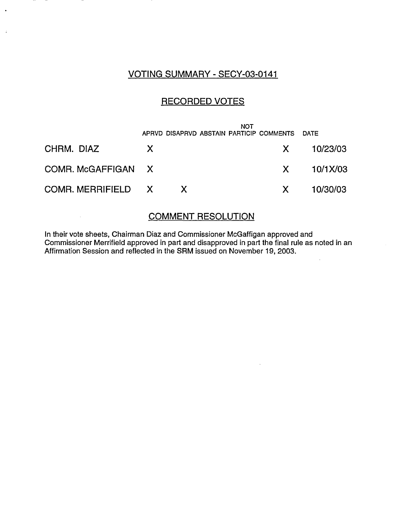## VOTING SUMMARY - SECY-03-0141

 $\ddot{a}$ 

## RECORDED VOTES

|                    |    | APRVD DISAPRVD ABSTAIN PARTICIP COMMENTS DATE | <b>NOT</b> |                               |                |
|--------------------|----|-----------------------------------------------|------------|-------------------------------|----------------|
| CHRM. DIAZ         | X. |                                               |            | $\mathsf{X}$ and $\mathsf{X}$ | 10/23/03       |
| COMR. McGAFFIGAN X |    |                                               |            |                               | $X = 10/1X/03$ |
| COMR. MERRIFIELD X |    |                                               |            | $\mathsf{X}$                  | 10/30/03       |

### COMMENT RESOLUTION

In their vote sheets, Chairman Diaz and Commissioner McGaffigan approved and Commissioner Merrifield approved in part and disapproved in part the final rule as noted in an Affirmation Session and reflected in the SRM issued on November 19, 2003.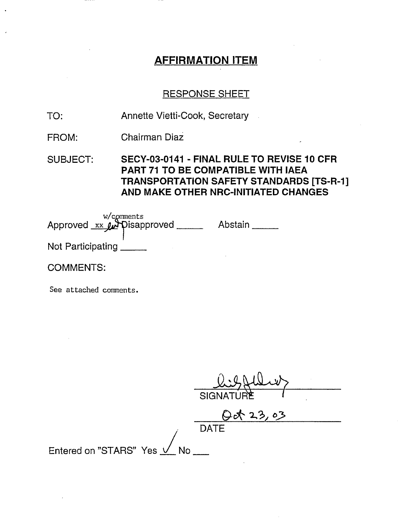# **AFFIRMATION** ITEM

### RESPONSE SHEET

- TO: Annette Vietti-Cook, Secretary
- FROM: Chairman Diaz

SUBJECT: SECY-03-0141 - FINAL RULE TO REVISE 10 CFR PART 71 TO BE COMPATIBLE WITH IAEA TRANSPORTATION SAFETY STANDARDS [TS-R-1] AND MAKE OTHER NRC-INITIATED CHANGES

w/comments Approved xx Arpisapproved \_\_\_\_\_\_ Abstain Not Participating

COMMENTS:

See attached comments.

|                             | SIGNATURE   |
|-----------------------------|-------------|
|                             | Qot 23,03   |
|                             | <b>DATE</b> |
| Entered on "STARS" Yes V No |             |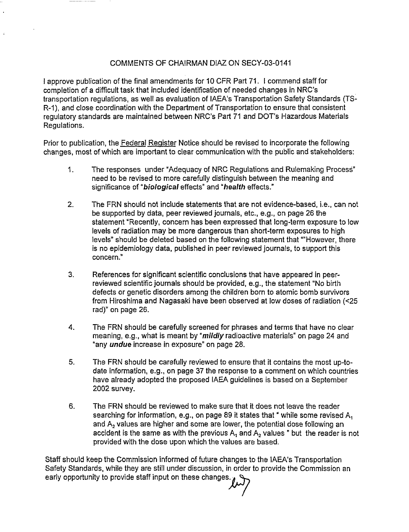### COMMENTS OF CHAIRMAN DIAZ ON SECY-03-0141

I approve publication of the final amendments for 10 CFR Part 71. I commend staff for completion of a difficult task that included identification of needed changes in NRC's transportation regulations, as well as evaluation of IAEA's Transportation Safety Standards (TS-R-1), and close coordination with the Department of Transportation to ensure that consistent regulatory standards are maintained between NRC's Part 71 and DOT's Hazardous Materials Regulations.

Prior to publication, the Federal Register Notice should be revised to incorporate the following changes, most of which are important to clear communication with the public and stakeholders:

- 1. The responses under "Adequacy of NRC Regulations and Rulemaking Process" need to be revised to more carefully distinguish between the meaning and significance of **"biological** effects" and **uhealth** effects."
- 2. The FRN should not include statements that are not evidence-based, i.e., can not be supported by data, peer reviewed journals, etc., e.g., on page 26 the statement "Recently, concern has been expressed that long-term exposure to low levels of radiation may be more dangerous than short-term exposures to high levels" should be deleted based on the following statement that ""However, there is no epidemiology data, published in peer reviewed journals, to support this concern."
- 3. References for significant scientific conclusions that have appeared in peerreviewed scientific journals should be provided, e.g., the statement "No birth defects or genetic disorders among the children born to atomic bomb survivors from Hiroshima and Nagasaki have been observed at low doses of radiation (<25 rad)" on page 26.
- 4. The FRN should be carefully screened for phrases and terms that have no clear meaning, e.g., what is meant by "mildly radioactive materials" on page 24 and "any *undue* increase in exposure" on page 28.
- 5. The FRN should be carefully reviewed to ensure that it contains the most up-todate information, e.g., on page 37 the response to a comment on which countries have already adopted the proposed IAEA guidelines is based on a September 2002 survey.
- 6. The FRN should be reviewed to make sure that it does not leave the reader searching for information, e.g., on page 89 it states that " while some revised  $A_1$ and A<sub>2</sub> values are higher and some are lower, the potential dose following an accident is the same as with the previous  $A_1$  and  $A_2$  values " but the reader is not provided with the dose upon which the values are based.

Staff should keep the Commission informed of future changes to the IAEA's Transportation Safety Standards, while they are still under discussion, in order to provide the Commission an early opportunity to provide staff input on these changes.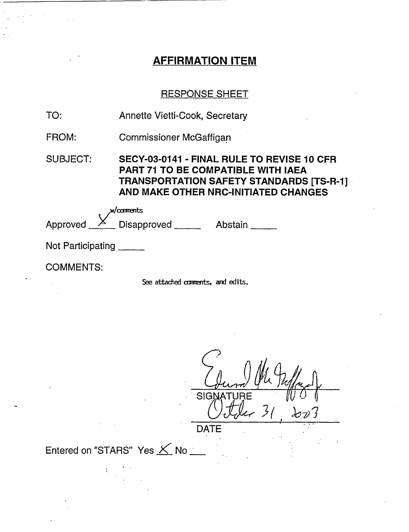# AFFIRMATION ITEM

# RESPONSE SHEET

| TO:               | Annette Vietti-Cook, Secretary                                                                                                                                              |  |  |  |
|-------------------|-----------------------------------------------------------------------------------------------------------------------------------------------------------------------------|--|--|--|
| FROM:             | <b>Commissioner McGaffigan</b>                                                                                                                                              |  |  |  |
| <b>SUBJECT:</b>   | SECY-03-0141 - FINAL RULE TO REVISE 10 CFR<br><b>PART 71 TO BE COMPATIBLE WITH IAEA</b><br>TRANSPORTATION SAFETY STANDARDS [TS-R-1]<br>AND MAKE OTHER NRC-INITIATED CHANGES |  |  |  |
|                   | $w$ /comments                                                                                                                                                               |  |  |  |
|                   | Approved X Disapproved Abstain                                                                                                                                              |  |  |  |
| Not Participating |                                                                                                                                                                             |  |  |  |
| <b>COMMENTS:</b>  |                                                                                                                                                                             |  |  |  |
|                   | See attached comments, and edits.                                                                                                                                           |  |  |  |

<sup>I</sup> *,'ICA* SIGNATURE  $k$ r 31  $2023$ 

DATE

Entered on "STARS" Yes  $\times$  No \_\_

 $\frac{1}{2}$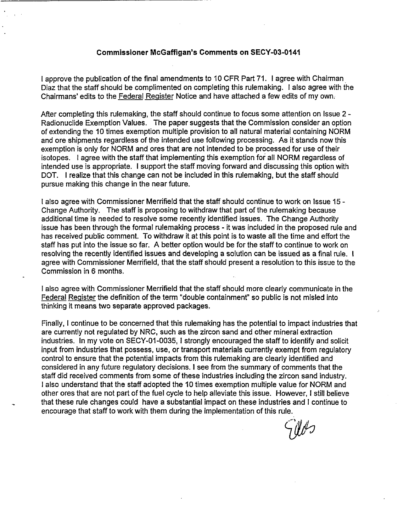#### **Commissioner McGaffigan's Comments on SECY-03-0141**

I approve the publication of the final amendments to 10 CFR Part 71. I agree with Chairman Diaz that the staff should be complimented on completing this rulemaking. I also agree with the Chairmans' edits to the Federal Register Notice and have attached a few edits of my own.

After completing this rulemaking, the staff should continue to focus some attention on Issue 2 - Radionuclide Exemption Values. The paper suggests that the Commission consider an option of extending the 10 times exemption multiple provision to all natural material containing NORM and ore shipments regardless of the intended use following processing. As it stands now this exemption is only for NORM and ores that are not intended to be processed for use of their isotopes. I agree with the staff that implementing this exemption for all NORM regardless of intended use is appropriate. I support the staff moving forward and discussing this option with DOT. I realize that this change can not be included in this rulemaking, but the staff should pursue making this change in the near future.

I also agree with Commissioner Merrifield that the staff should continue to work on Issue 15 - Change Authority. The staff is proposing to withdraw that part of the rulemaking because additional time is needed to resolve some recently identified issues. The Change Authority issue has been through the formal rulemaking process - it was included in the proposed rule and has received public comment. To withdraw it at this point is to waste all the time and effort the staff has put into the issue so far. A better option would be for the staff to continue to work on resolving the recently identified issues and developing a solution can be issued as a final rule. I agree with Commissioner Merrifield, that the staff should present a resolution to this issue to the Commission in 6 months.

I also agree with Commissioner Merrifield that the staff should more clearly communicate in the Federal Register the definition of the term "double containment" so public is not misled into thinking it means two separate approved packages.

Finally, I continue to be concerned that this rulemaking has the potential to impact industries that are currently not regulated by NRC, such as the zircon sand and other mineral extraction industries. In my vote on SECY-01-0035, I strongly encouraged the staff to identify and solicit input from industries that possess, use, or transport materials currently exempt from regulatory control to ensure that the potential impacts from this rulemaking are clearly identified and considered in any future regulatory decisions. I see from the summary of comments that the staff did received comments from some of these industries including the zircon sand industry. I also understand that the staff adopted the 10 times exemption multiple value for NORM and other ores that are not part of the fuel cycle to help alleviate this issue. However, I still believe that these rule changes could have a substantial impact on these industries and I continue to encourage that staff to work with them during the implementation of this rule.

TUP J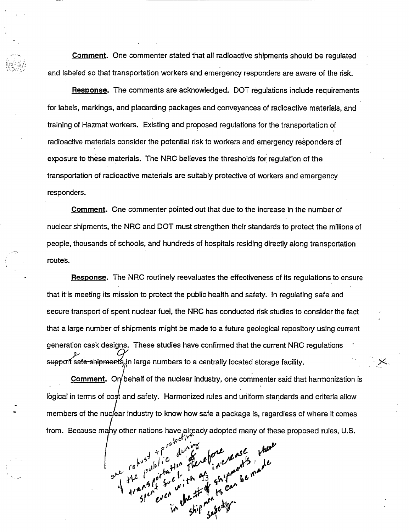**Comment.** One commenter stated that all radioactive shipments should be regulated and labeled so that transportation workers and emergency responders are aware of the risk.

**Response.** The comments are acknowledged. DOT regulations include requirements for labels, markings, and placarding packages and conveyances of radioactive materials, and training of Hazmat workers. Existing and proposed regulations for the transportation of radioactive materials consider the potential risk to workers and emergency responders of exposure to these materials. The NRC believes the thresholds for regulation of the transportation of radioactive materials are suitably protective of workers and emergency responders.

**Comment.** One commenter pointed out that due to the increase in the number of nuclear shipments, the NRC and DOT must strengthen their standards to protect the millions of people, thousands of schools, and hundreds of hospitals residing directly along transportation routes.

**Response.** The NRC routinely reevaluates the effectiveness of its regulations to ensure that itis meeting its mission to protect the public health and safety. In regulating safe and secure transport of spent nuclear fuel, the NRC has conducted risk studies to consider the fact that a large number of shipments might be made to a future geological repository using current generation cask designs. These studies have confirmed that the current NRC regulations support safe-shipments, in large numbers to a centrally located storage facility.

**Comment.** On behalf of the nuclear industry, one commenter said that harmonization is logical in terms of cost and safety. Harmonized rules and uniform standards and criteria allow members of the nuclear industry to know how safe a package is, regardless of where it comes from. Because many other nations have already adopted many of these proposed rules, U.S.

**I**, *j*<sub>O</sub><sup>25</sup> **j**<sub>O</sub><sup>2</sup> **j**<sub>O</sub><sup>2</sup> *j***<sub>O</sub><sup>2</sup> <b>***j*<sub>O</sub><sup>2</sup> *j*<sub>O</sub><sup>2</sup>  $H^e$ ,  $\int e^{t} \mu e^{t}$ ,  $e^{\frac{t}{2}}$ ,  $\int e^{t}$ ,  $f^e$ ,  $f^{\mu e}$ ,  $f^{\mu e}$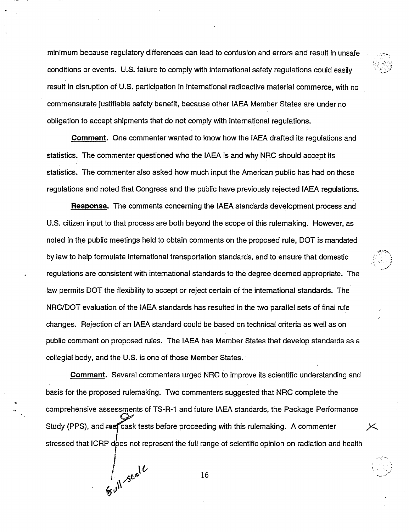minimum because regulatory differences can lead to confusion and errors and result in unsafe conditions or events. U.S. failure to comply with international safety regulations could easily result in disruption of U.S. participation in international radioactive material commerce, with no commensurate justifiable safety benefit, because other IAEA Member States are under no obligation to accept shipments that do not comply with international regulations.

**Comment.** One commenter wanted to know how the IAEA drafted its regulations and statistics. The commenter questioned who the IAEA is and why NRC should accept its statistics. The commenter also asked how much input the American public has had on these regulations and noted that Congress and the public have previously rejected IAEA regulations.

**Response.** The comments concerning the IAEA standards development process and U.S. citizen input to that process are both beyond the scope of this rulemaking. However, as noted in the public meetings held to obtain comments on the proposed rule, DOT is mandated by law to help formulate international transportation standards, and to ensure that domestic regulations are consistent with international standards to the degree deemed appropriate. The law permits DOT the flexibility to accept or reject certain of the international standards. The NRC/DOT evaluation of the IAEA standards has resulted in the two parallel sets of final rule changes. Rejection of an IAEA standard could be based on technical criteria as well as on public comment on proposed rules. The IAEA has Member States that develop standards as a collegial body, and the U.S. is one of those Member States.

**Comment.** Several commenters urged NRC to improve its scientific understanding and basis for the proposed rulemaking. Two commenters suggested that NRC complete the comprehensive assessments of TS-R-1 and future IAEA standards, the Package Performance Study (PPS), and real cask tests before proceeding with this rulemaking. A commenter stressed that ICRP does not represent the full range of scientific opinion on radiation and health

 $\int_{\mathcal{Y} \cup \mathcal{V}} \mathcal{S}^{c} e^{j\ell}$  16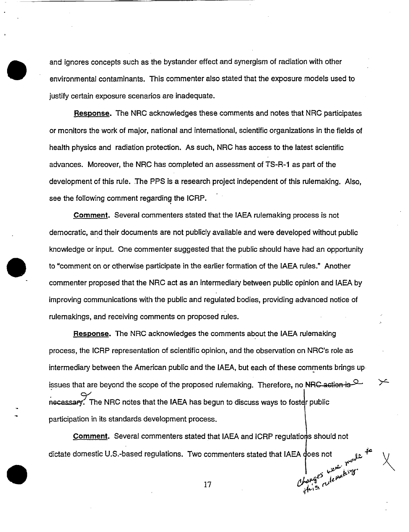and ignores concepts such as the bystander effect and synergism of radiation with other environmental contaminants. This commenter also stated that the exposure models used to justify certain exposure scenarios are inadequate.

**Response.** The NRC acknowledges these comments and notes that NRC participates or monitors the work of major, national and international, scientific organizations in the fields of health physics and radiation protection. As such, NRC has access to the latest scientific advances. Moreover, the NRC has completed an assessment of TS-R-1 as part of the development of this rule. The PPS is a research project independent of this rulemaking. Also, see the following comment regarding the ICRP.

**Comment.** Several commenters stated that the IAEA rulemaking process is not democratic, and their documents are not publicly available and were developed without public knowledge or input. One commenter suggested that the public should have had an opportunity to "comment on or otherwise participate in the earlier formation of the IAEA rules." Another commenter proposed that the NRC act as an intermediary between public opinion and IAEA by improving communications with the public and regulated bodies, providing advanced notice of rulemakings, and receiving comments on proposed rules.

**Response.** The NRC acknowledges the comments about the IAEA rulemaking process, the ICRP representation of scientific opinion, and the observation on NRC's role as intermediary between the American public and the IAEA, but each of these comments brings up issues that are beyond the scope of the proposed rulemaking. Therefore, no NRC action is  $\mathbb{R}^2$ recessary. The NRC notes that the IAEA has begun to discuss ways to foster public participation in its standards development process.

**Comment.** Several commenters stated that IAEA and ICRP regulations should not dictate domestic U.S.-based regulations. Two commenters stated that IAEA does not  $\mu_{\text{up}}$ <br>17

17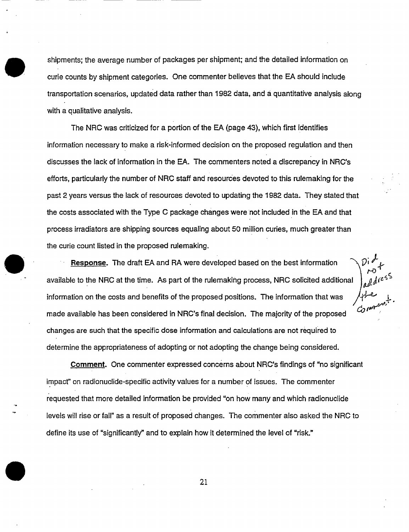shipments; the average number of packages per shipment; and the detailed information on curie counts by shipment categories. One commenter believes that the EA should include transportation scenarios, updated data rather than 1982 data, and a quantitative analysis along with a qualitative analysis.

The NRC was criticized for a portion of the EA (page 43), which first identifies information necessary to make a risk-informed decision on the proposed regulation and then discusses the lack of information in the EA. The commenters noted a discrepancy in NRC's efforts, particularly the number of NRC staff and resources devoted to this rulemaking for the past 2 years versus the lack of resources devoted to updating the 1982 data. They stated that the costs associated with the Type C package changes were not included in the EA and that process irradiators are shipping sources equaling about 50 million curies, much greater than the curie count listed in the proposed rulemaking.

**Response.** The draft EA and RA were developed based on the best information available to the NRC at the time. As part of the rulemaking process, NRC solicited additional information on the costs and benefits of the proposed positions. The information that was made available has been considered in NRC's final decision. The majority of the proposed changes are such that the specific dose information and calculations are not required to determine the appropriateness of adopting or not adopting the change being considered.

*At*

**Comment.** One commenter expressed concerns about NRC's findings of "no significant" impact" on radionuclide-specific activity values for a number of issues. The commenter requested that more detailed information be provided 'on how many and which radionuclide levels will rise or fall" as a result of proposed changes. The commenter also asked the NRC to define its use of 'significantly" and to explain how it determined the level of "risk."

21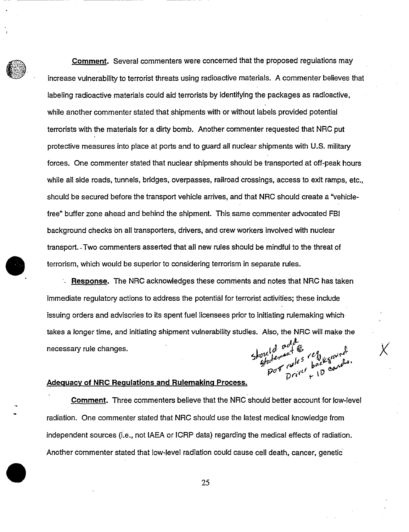**Comment.** Several commenters were concerned that the proposed regulations may increase vulnerability to terrorist threats using radioactive materials. A commenter believes that labeling radioactive materials could aid terrorists by identifying the packages as radioactive, while another commenter stated that shipments with or without labels provided potential terrorists with the materials for a dirty bomb. Another commenter requested that NRC put protective measures into place at ports and to guard all nuclear shipments with U.S. military forces. One commenter stated that nuclear shipments should be transported at off-peak hours while all side roads, tunnels, bridges, overpasses, railroad crossings, access to exit ramps, etc., should be secured before the transport vehicle arrives, and that NRC should create a "vehiclefree" buffer zone ahead and behind the shipment. This same commenter advocated FBI background checks on all transporters, drivers, and crew workers involved with nuclear transport. -Two commenters asserted that all new rules should be mindful to the threat of terrorism, which would be superior to considering terrorism in separate rules.

**Response.** The NRC acknowledges these comments and notes that NRC has taken immediate regulatory actions to address the potential for terrorist activities; these include issuing orders and advisories to its spent fuel licensees prior to initiating rulemaking which takes a longer time, and initiating shipment vulnerability studies. Also, the NRC will make the necessary rule changes.<br>
Showld are  $\frac{d}{dx} \int_{\mathcal{D}f} \frac{d}{dx} \int_{\mathcal{D}f} \frac{d}{dx} \int_{\mathcal{D}f} \frac{d}{dx} \int_{\mathcal{D}f} \frac{d}{dx} \int_{\mathcal{D}f} \frac{d}{dx} \int_{\mathcal{D}f} \frac{d}{dx} \int_{\mathcal{D}f} \frac{d}{dx} \int_{\mathcal{D}f} \frac{d}{dx} \int_{\mathcal{D}f} \frac{d}{dx} \int_{\mathcal{D}f} \frac{d$ 

#### **Adequacy of NRC Requlations and Rulemaking Process.**

Comment. Three commenters believe that the NRC should better account for low-level radiation. One commenter stated that NRC should use the latest medical knowledge from independent sources (i.e., not IAEA or ICRP data) regarding the medical effects of radiation. Another commenter stated that low-level radiation could cause cell death, cancer, genetic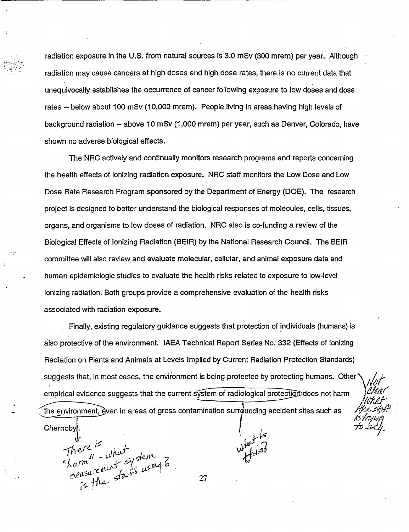radiation exposure in the U.S. from natural sources is 3.0 mSv (300 mrem) per year. Although radiation may cause cancers at high doses and high dose rates, there is no current data that unequivocally establishes the occurrence of cancer following exposure to low doses and dose rates - below about 100 mSv (10,000 mrem). People living in areas having high levels of background radiation - above 10 mSv (1,000 mrem) per year, such as Denver, Colorado, have shown no adverse biological effects.

The NRC actively and continually monitors research programs and reports concerning the health effects of ionizing radiation exposure. NRC staff monitors the Low Dose and Low Dose Rate Research Program sponsored by the Department of Energy (DOE). The research project is designed to better understand the biological responses of molecules, cells, tissues, organs, and organisms to low doses of radiation. NRC also is co-funding a review of the Biological Effects of Ionizing Radiation (BEIR) by the National Research Council. The BEIR committee will also review and evaluate molecular, cellular, and animal exposure data and human epidemiologic studies to evaluate the health risks related to exposure to low-level ionizing radiation. Both groups provide a comprehensive evaluation of the health risks associated with radiation exposure.

Finally, existing regulatory guidance suggests that protection of individuals (humans) is also protective of the environment. IAEA Technical Report Series No. 332 (Effects of Ionizing Radiation on Plants and Animals at Levels Implied by Current Radiation Protection Standards) suggests that, in most cases, the environment is being protected by protecting humans. Other empirical evidence suggests that the current system of radiological protection does not harm

the environment, even in areas of gross contamination surrounding accident sites such as

27

 $\frac{1}{2}$ 

**Chemoby** 

There is<br>"harm" - what<br>"harm" - what<br>measurement stasts using 3<br>is the stasts using 3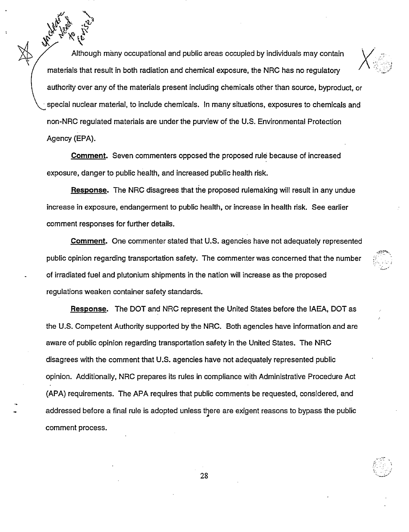Although many occupational and public areas occupied by individuals may contain materials that result in both radiation and chemical exposure, the NRC has no regulatory authority over any of the materials present including chemicals other than source, byproduct, or special nuclear material, to include chemicals. In many situations, exposures to chemicals and non-NRC regulated materials are under the purview of the U.S. Environmental Protection Agency (EPA).

**Comment.** Seven commenters opposed the proposed rule because of increased exposure, danger to public health, and increased public health risk.

**Response.** The NRC disagrees that the proposed rulemaking will result in any undue increase in exposure, endangerment to public health, or increase in health risk. See earlier comment responses for further details.

**Comment.** One commenter stated that U.S. agencies have not adequately represented public opinion regarding transportation safety. The commenter was concerned that the number of irradiated fuel and plutonium shipments in the nation will increase as the proposed regulations weaken container safety standards.

**Response.** The DOT and NRC represent the United States before the IAEA, DOT as the U.S. Competent Authority supported by the NRC. Both agencies have information and are aware of public opinion regarding transportation safety in the United States. The NRC disagrees with the comment that U.S. agencies have not adequately represented public opinion. Additionally, NRC prepares its rules in compliance with Administrative Procedure Act (APA) requirements. The APA requires that public comments be requested, considered, and addressed before a final rule is adopted unless there are exigent reasons to bypass the public comment process.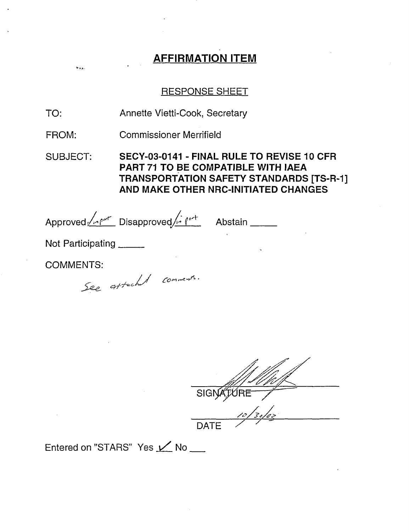# AFFIRMATION ITEM

## RESPONSE SHEET

TO: Annette Vietti-Cook, Secretary

FROM: Commissioner Merrifield

SUBJECT: SECY-03-0141 - FINAL RULE TO REVISE 10 CFR PART 71 TO BE COMPATIBLE WITH IAEA TRANSPORTATION SAFETY STANDARDS [TS-R-1] AND MAKE OTHER NRC-INITIATED CHANGES

Approved <u>Zoon Disapproved Andrew</u> Abstain

Not Participating

COMMENTS:

 $5.75$ 

See attached comments.

SIG DATE  $\overline{z}$ 

Entered on "STARS" Yes  $\angle$  No  $\equiv$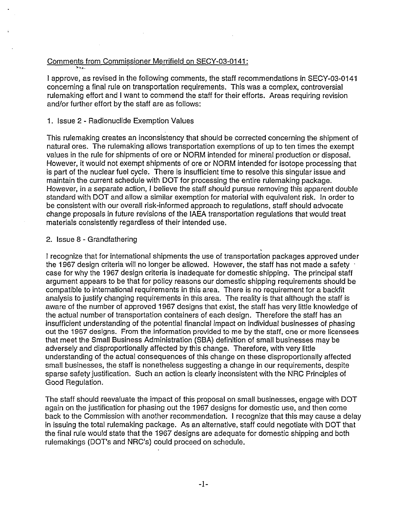#### Comments from Commissioner Merrifield on SECY-03-0141:

I approve, as revised in the following comments, the staff recommendations in SECY-03-0141 concerning a final rule on transportation requirements. This was a complex, controversial rulemaking effort and I want to commend the staff for their efforts. Areas requiring revision and/or further effort by the staff are as follows:

#### 1. Issue 2 - Radionuclide Exemption Values

This rulemaking creates an inconsistency that should be corrected concerning the shipment of natural ores. The rulemaking allows transportation exemptions of up to ten times the exempt values in the rule for shipments of ore or NORM intended for mineral production or disposal. However, it would not exempt shipments of ore or NORM intended for isotope processing that is part of the nuclear fuel cycle. There is insufficient time to resolve this singular issue and maintain the current schedule with DOT for processing the entire rulemaking package. However, in a separate action, I believe the staff should pursue removing this apparent double standard with DOT and allow a similar exemption for material with equivalent risk. In order to be consistent with our overall risk-informed approach to regulations, staff should advocate change proposals in future revisions of the IAEA transportation regulations that would treat materials consistently regardless of their intended use.

#### 2. Issue 8 - Grandfathering

I recognize that for international shipments the use of transportation packages approved under the 1967 design criteria will no longer be allowed. However, the staff has not made a safety case for why the 1967 design criteria is inadequate for domestic shipping. The principal staff argument appears to be that for policy reasons our domestic shipping requirements should be compatible to international requirements in this area. There is no requirement for a backfit analysis to justify changing requirements in this area. The reality is that although the staff is aware of the number of approved 1967 designs that exist, the staff has very little knowledge of the actual number of transportation containers of each design. Therefore the staff has an insufficient understanding of the potential financial impact on individual businesses of phasing out the 1967 designs. From the information provided to me by the staff, one or more licensees that meet the Small Business Administration (SBA) definition of small businesses may be adversely and disproportionally affected by this change. Therefore, with very little understanding of the actual consequences of this change on these disproportionally affected small businesses, the staff is nonetheless suggesting a change in our requirements, despite sparse safety justification. Such an action is clearly inconsistent with the NRC Principles of Good Regulation.

The staff should reevaluate the impact of this proposal on small businesses, engage with DOT again on the justification for phasing out the 1967 designs for domestic use, and then come back to the Commission with another recommendation. I recognize that this may cause a delay in issuing the total rulemaking package. As an alternative, staff could negotiate with DOT that the final rule would state that the 1967 designs are adequate for domestic shipping and both rulemakings (DOT's and NRC's) could proceed on schedule.